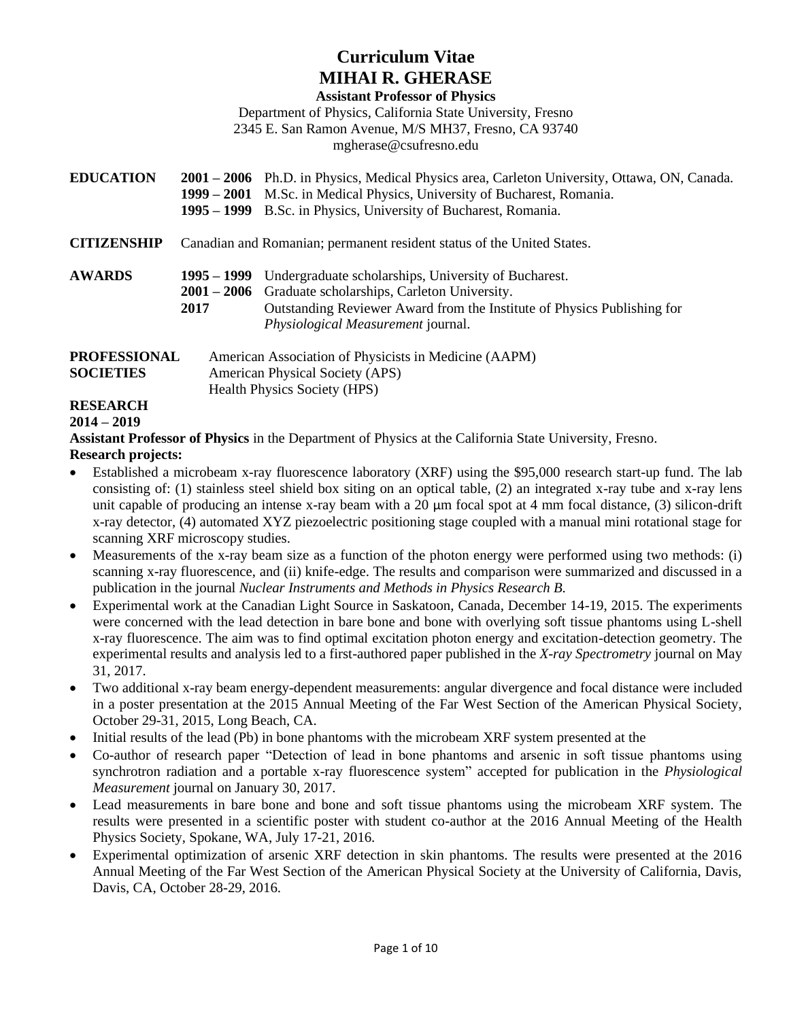# **Curriculum Vitae MIHAI R. GHERASE**

#### **Assistant Professor of Physics**

Department of Physics, California State University, Fresno

2345 E. San Ramon Avenue, M/S MH37, Fresno, CA 93740

[mgherase@c](mailto:mgherase@mta.ca)sufresno.edu

| <b>EDUCATION</b>   |                                                                        | 2001 – 2006 Ph.D. in Physics, Medical Physics area, Carleton University, Ottawa, ON, Canada. |
|--------------------|------------------------------------------------------------------------|----------------------------------------------------------------------------------------------|
|                    |                                                                        | 1999 – 2001 M.Sc. in Medical Physics, University of Bucharest, Romania.                      |
|                    |                                                                        | 1995 – 1999 B.Sc. in Physics, University of Bucharest, Romania.                              |
| <b>CITIZENSHIP</b> | Canadian and Romanian; permanent resident status of the United States. |                                                                                              |
| <b>AWARDS</b>      | $1995 - 1999$                                                          | Undergraduate scholarships, University of Bucharest.                                         |
|                    |                                                                        | 2001 – 2006 Graduate scholarships, Carleton University.                                      |
|                    | 2017                                                                   | Outstanding Reviewer Award from the Institute of Physics Publishing for                      |
|                    |                                                                        | Physiological Measurement journal.                                                           |
| PROFESSIONAL       |                                                                        | American Association of Physicists in Medicine (AAPM)                                        |
| <b>SOCIETIES</b>   |                                                                        | American Physical Society (APS)                                                              |
|                    |                                                                        | <b>Health Physics Society (HPS)</b>                                                          |
| <b>DESEADCH</b>    |                                                                        |                                                                                              |

#### **RESEARCH 2014 – 2019**

**Assistant Professor of Physics** in the Department of Physics at the California State University, Fresno.

#### **Research projects:**

- Established a microbeam x-ray fluorescence laboratory (XRF) using the \$95,000 research start-up fund. The lab consisting of: (1) stainless steel shield box siting on an optical table, (2) an integrated x-ray tube and x-ray lens unit capable of producing an intense x-ray beam with a 20 μm focal spot at 4 mm focal distance, (3) silicon-drift x-ray detector, (4) automated XYZ piezoelectric positioning stage coupled with a manual mini rotational stage for scanning XRF microscopy studies.
- Measurements of the x-ray beam size as a function of the photon energy were performed using two methods: (i) scanning x-ray fluorescence, and (ii) knife-edge. The results and comparison were summarized and discussed in a publication in the journal *Nuclear Instruments and Methods in Physics Research B*.
- Experimental work at the Canadian Light Source in Saskatoon, Canada, December 14-19, 2015. The experiments were concerned with the lead detection in bare bone and bone with overlying soft tissue phantoms using L-shell x-ray fluorescence. The aim was to find optimal excitation photon energy and excitation-detection geometry. The experimental results and analysis led to a first-authored paper published in the *X-ray Spectrometry* journal on May 31, 2017.
- Two additional x-ray beam energy-dependent measurements: angular divergence and focal distance were included in a poster presentation at the 2015 Annual Meeting of the Far West Section of the American Physical Society, October 29-31, 2015, Long Beach, CA.
- Initial results of the lead (Pb) in bone phantoms with the microbeam XRF system presented at the
- Co-author of research paper "Detection of lead in bone phantoms and arsenic in soft tissue phantoms using synchrotron radiation and a portable x-ray fluorescence system" accepted for publication in the *Physiological Measurement* journal on January 30, 2017.
- Lead measurements in bare bone and bone and soft tissue phantoms using the microbeam XRF system. The results were presented in a scientific poster with student co-author at the 2016 Annual Meeting of the Health Physics Society, Spokane, WA, July 17-21, 2016.
- Experimental optimization of arsenic XRF detection in skin phantoms. The results were presented at the 2016 Annual Meeting of the Far West Section of the American Physical Society at the University of California, Davis, Davis, CA, October 28-29, 2016.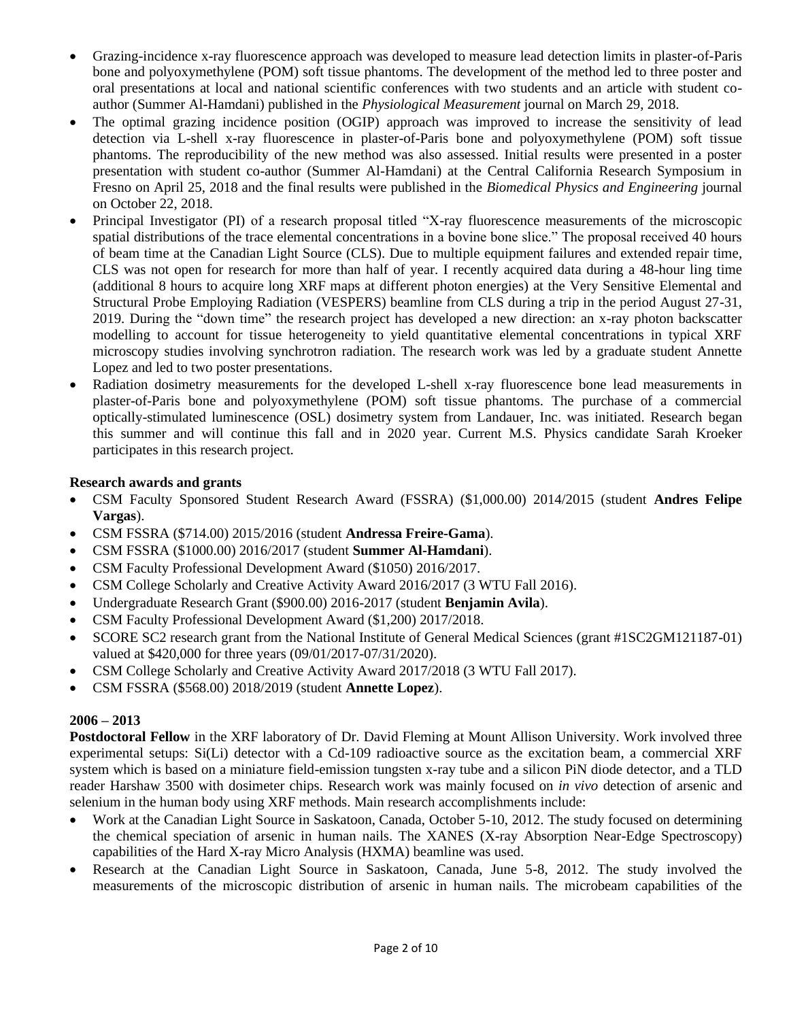- Grazing-incidence x-ray fluorescence approach was developed to measure lead detection limits in plaster-of-Paris bone and polyoxymethylene (POM) soft tissue phantoms. The development of the method led to three poster and oral presentations at local and national scientific conferences with two students and an article with student coauthor (Summer Al-Hamdani) published in the *Physiological Measurement* journal on March 29, 2018.
- The optimal grazing incidence position (OGIP) approach was improved to increase the sensitivity of lead detection via L-shell x-ray fluorescence in plaster-of-Paris bone and polyoxymethylene (POM) soft tissue phantoms. The reproducibility of the new method was also assessed. Initial results were presented in a poster presentation with student co-author (Summer Al-Hamdani) at the Central California Research Symposium in Fresno on April 25, 2018 and the final results were published in the *Biomedical Physics and Engineering* journal on October 22, 2018.
- Principal Investigator (PI) of a research proposal titled "X-ray fluorescence measurements of the microscopic spatial distributions of the trace elemental concentrations in a bovine bone slice." The proposal received 40 hours of beam time at the Canadian Light Source (CLS). Due to multiple equipment failures and extended repair time, CLS was not open for research for more than half of year. I recently acquired data during a 48-hour ling time (additional 8 hours to acquire long XRF maps at different photon energies) at the Very Sensitive Elemental and Structural Probe Employing Radiation (VESPERS) beamline from CLS during a trip in the period August 27-31, 2019. During the "down time" the research project has developed a new direction: an x-ray photon backscatter modelling to account for tissue heterogeneity to yield quantitative elemental concentrations in typical XRF microscopy studies involving synchrotron radiation. The research work was led by a graduate student Annette Lopez and led to two poster presentations.
- Radiation dosimetry measurements for the developed L-shell x-ray fluorescence bone lead measurements in plaster-of-Paris bone and polyoxymethylene (POM) soft tissue phantoms. The purchase of a commercial optically-stimulated luminescence (OSL) dosimetry system from Landauer, Inc. was initiated. Research began this summer and will continue this fall and in 2020 year. Current M.S. Physics candidate Sarah Kroeker participates in this research project.

### **Research awards and grants**

- CSM Faculty Sponsored Student Research Award (FSSRA) (\$1,000.00) 2014/2015 (student **Andres Felipe Vargas**).
- CSM FSSRA (\$714.00) 2015/2016 (student **Andressa Freire-Gama**).
- CSM FSSRA (\$1000.00) 2016/2017 (student **Summer Al-Hamdani**).
- CSM Faculty Professional Development Award (\$1050) 2016/2017.
- CSM College Scholarly and Creative Activity Award 2016/2017 (3 WTU Fall 2016).
- Undergraduate Research Grant (\$900.00) 2016-2017 (student **Benjamin Avila**).
- CSM Faculty Professional Development Award (\$1,200) 2017/2018.
- SCORE SC2 research grant from the National Institute of General Medical Sciences (grant #1SC2GM121187-01) valued at \$420,000 for three years (09/01/2017-07/31/2020).
- CSM College Scholarly and Creative Activity Award 2017/2018 (3 WTU Fall 2017).
- CSM FSSRA (\$568.00) 2018/2019 (student **Annette Lopez**).

### **2006 – 2013**

**Postdoctoral Fellow** in the XRF laboratory of Dr. David Fleming at Mount Allison University. Work involved three experimental setups: Si(Li) detector with a Cd-109 radioactive source as the excitation beam, a commercial XRF system which is based on a miniature field-emission tungsten x-ray tube and a silicon PiN diode detector, and a TLD reader Harshaw 3500 with dosimeter chips. Research work was mainly focused on *in vivo* detection of arsenic and selenium in the human body using XRF methods. Main research accomplishments include:

- Work at the Canadian Light Source in Saskatoon, Canada, October 5-10, 2012. The study focused on determining the chemical speciation of arsenic in human nails. The XANES (X-ray Absorption Near-Edge Spectroscopy) capabilities of the Hard X-ray Micro Analysis (HXMA) beamline was used.
- Research at the Canadian Light Source in Saskatoon, Canada, June 5-8, 2012. The study involved the measurements of the microscopic distribution of arsenic in human nails. The microbeam capabilities of the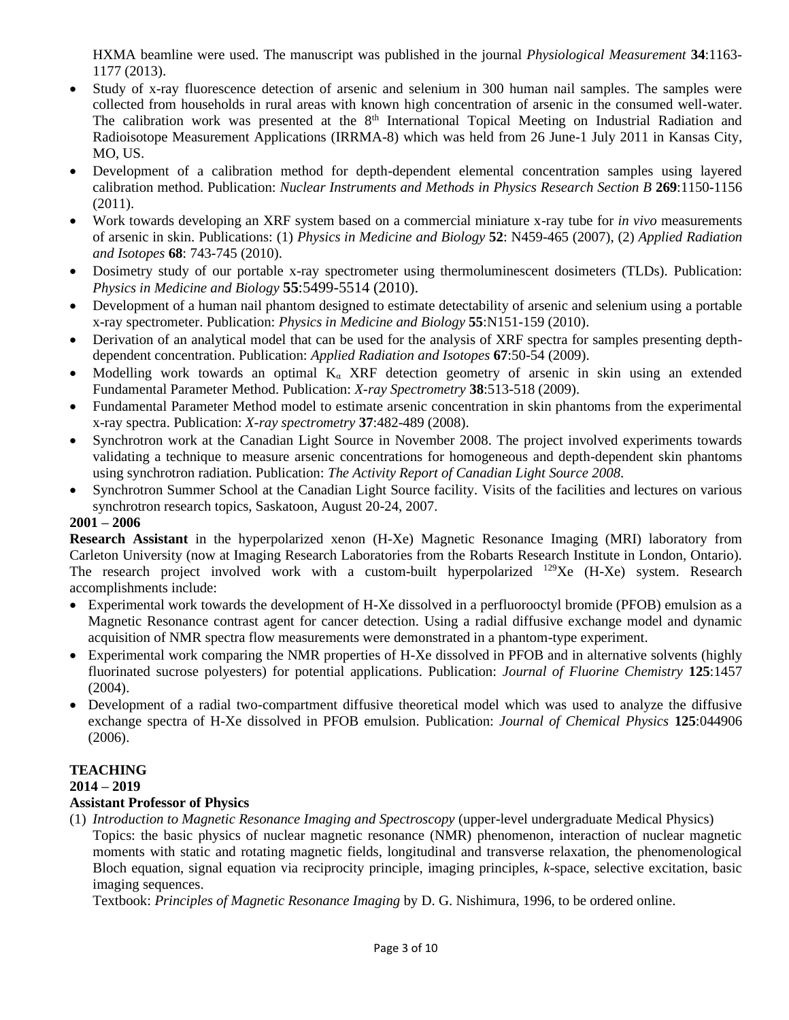HXMA beamline were used. The manuscript was published in the journal *Physiological Measurement* **34**:1163- 1177 (2013).

- Study of x-ray fluorescence detection of arsenic and selenium in 300 human nail samples. The samples were collected from households in rural areas with known high concentration of arsenic in the consumed well-water. The calibration work was presented at the 8<sup>th</sup> International Topical Meeting on Industrial Radiation and Radioisotope Measurement Applications (IRRMA-8) which was held from 26 June-1 July 2011 in Kansas City, MO, US.
- Development of a calibration method for depth-dependent elemental concentration samples using layered calibration method. Publication: *Nuclear Instruments and Methods in Physics Research Section B* **269**:1150-1156 (2011).
- Work towards developing an XRF system based on a commercial miniature x-ray tube for *in vivo* measurements of arsenic in skin. Publications: (1) *Physics in Medicine and Biology* **52**: N459-465 (2007), (2) *Applied Radiation and Isotopes* **68**: 743-745 (2010).
- Dosimetry study of our portable x-ray spectrometer using thermoluminescent dosimeters (TLDs). Publication: *Physics in Medicine and Biology* **55**:5499-5514 (2010).
- Development of a human nail phantom designed to estimate detectability of arsenic and selenium using a portable x-ray spectrometer. Publication: *Physics in Medicine and Biology* **55**:N151-159 (2010).
- Derivation of an analytical model that can be used for the analysis of XRF spectra for samples presenting depthdependent concentration. Publication: *Applied Radiation and Isotopes* **67**:50-54 (2009).
- Modelling work towards an optimal  $K_\alpha$  XRF detection geometry of arsenic in skin using an extended Fundamental Parameter Method. Publication: *X-ray Spectrometry* **38**:513-518 (2009).
- Fundamental Parameter Method model to estimate arsenic concentration in skin phantoms from the experimental x-ray spectra. Publication: *X-ray spectrometry* **37**:482-489 (2008).
- Synchrotron work at the Canadian Light Source in November 2008. The project involved experiments towards validating a technique to measure arsenic concentrations for homogeneous and depth-dependent skin phantoms using synchrotron radiation. Publication: *The Activity Report of Canadian Light Source 2008*.
- Synchrotron Summer School at the Canadian Light Source facility. Visits of the facilities and lectures on various synchrotron research topics, Saskatoon, August 20-24, 2007.

#### **2001 – 2006**

**Research Assistant** in the hyperpolarized xenon (H-Xe) Magnetic Resonance Imaging (MRI) laboratory from Carleton University (now at Imaging Research Laboratories from the Robarts Research Institute in London, Ontario). The research project involved work with a custom-built hyperpolarized <sup>129</sup>Xe (H-Xe) system. Research accomplishments include:

- Experimental work towards the development of H-Xe dissolved in a perfluorooctyl bromide (PFOB) emulsion as a Magnetic Resonance contrast agent for cancer detection. Using a radial diffusive exchange model and dynamic acquisition of NMR spectra flow measurements were demonstrated in a phantom-type experiment.
- Experimental work comparing the NMR properties of H-Xe dissolved in PFOB and in alternative solvents (highly fluorinated sucrose polyesters) for potential applications. Publication: *Journal of Fluorine Chemistry* **125**:1457 (2004).
- Development of a radial two-compartment diffusive theoretical model which was used to analyze the diffusive exchange spectra of H-Xe dissolved in PFOB emulsion. Publication: *Journal of Chemical Physics* **125**:044906 (2006).

#### **TEACHING 2014 – 2019**

## **Assistant Professor of Physics**

### (1) *Introduction to Magnetic Resonance Imaging and Spectroscopy* (upper-level undergraduate Medical Physics)

Topics: the basic physics of nuclear magnetic resonance (NMR) phenomenon, interaction of nuclear magnetic moments with static and rotating magnetic fields, longitudinal and transverse relaxation, the phenomenological Bloch equation, signal equation via reciprocity principle, imaging principles, *k*-space, selective excitation, basic imaging sequences.

Textbook: *Principles of Magnetic Resonance Imaging* by D. G. Nishimura, 1996, to be ordered online.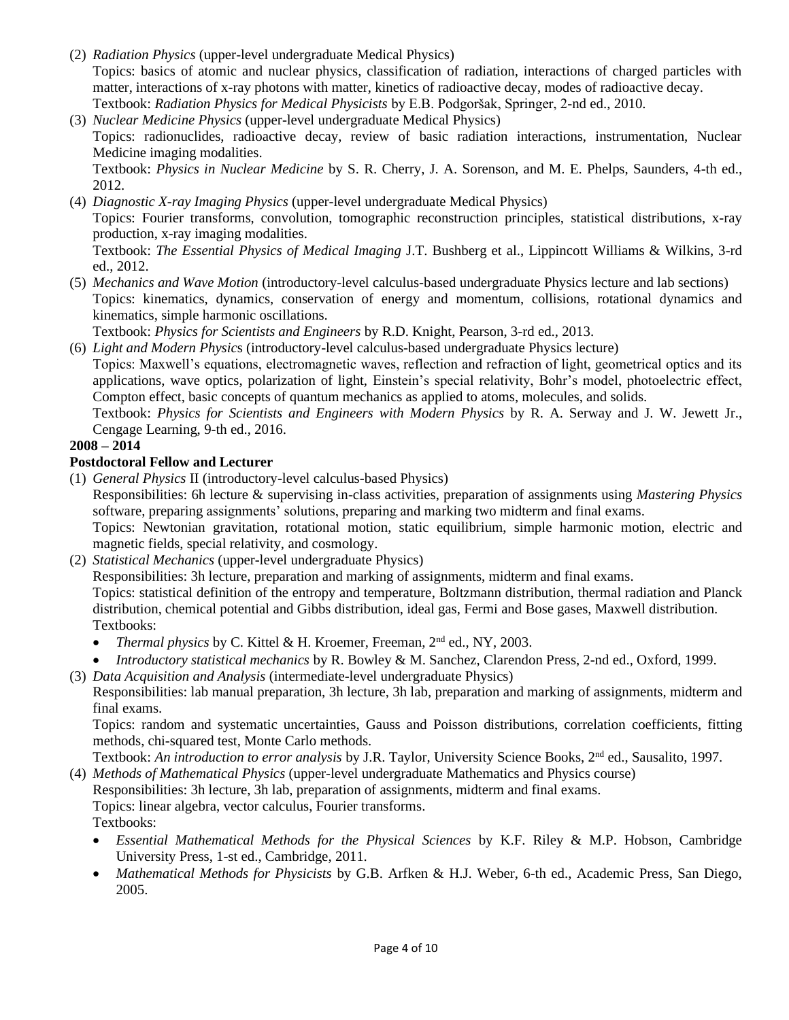- (2) *Radiation Physics* (upper-level undergraduate Medical Physics) Topics: basics of atomic and nuclear physics, classification of radiation, interactions of charged particles with matter, interactions of x-ray photons with matter, kinetics of radioactive decay, modes of radioactive decay. Textbook: *Radiation Physics for Medical Physicists* by E.B. Podgoršak, Springer, 2-nd ed., 2010.
- (3) *Nuclear Medicine Physics* (upper-level undergraduate Medical Physics) Topics: radionuclides, radioactive decay, review of basic radiation interactions, instrumentation, Nuclear Medicine imaging modalities. Textbook: *Physics in Nuclear Medicine* by S. R. Cherry, J. A. Sorenson, and M. E. Phelps, Saunders, 4-th ed., 2012.
- (4) *Diagnostic X-ray Imaging Physics* (upper-level undergraduate Medical Physics) Topics: Fourier transforms, convolution, tomographic reconstruction principles, statistical distributions, x-ray production, x-ray imaging modalities.

Textbook: *The Essential Physics of Medical Imaging* J.T. Bushberg et al., Lippincott Williams & Wilkins, 3-rd ed., 2012.

(5) *Mechanics and Wave Motion* (introductory-level calculus-based undergraduate Physics lecture and lab sections) Topics: kinematics, dynamics, conservation of energy and momentum, collisions, rotational dynamics and kinematics, simple harmonic oscillations.

Textbook: *Physics for Scientists and Engineers* by R.D. Knight, Pearson, 3-rd ed., 2013.

(6) *Light and Modern Physic*s (introductory-level calculus-based undergraduate Physics lecture)

Topics: Maxwell's equations, electromagnetic waves, reflection and refraction of light, geometrical optics and its applications, wave optics, polarization of light, Einstein's special relativity, Bohr's model, photoelectric effect, Compton effect, basic concepts of quantum mechanics as applied to atoms, molecules, and solids.

Textbook: *Physics for Scientists and Engineers with Modern Physics* by R. A. Serway and J. W. Jewett Jr., Cengage Learning, 9-th ed., 2016.

### **2008 – 2014**

## **Postdoctoral Fellow and Lecturer**

(1) *General Physics* II (introductory-level calculus-based Physics)

Responsibilities: 6h lecture & supervising in-class activities, preparation of assignments using *Mastering Physics* software, preparing assignments' solutions, preparing and marking two midterm and final exams.

Topics: Newtonian gravitation, rotational motion, static equilibrium, simple harmonic motion, electric and magnetic fields, special relativity, and cosmology.

(2) *Statistical Mechanics* (upper-level undergraduate Physics)

Responsibilities: 3h lecture, preparation and marking of assignments, midterm and final exams.

Topics: statistical definition of the entropy and temperature, Boltzmann distribution, thermal radiation and Planck distribution, chemical potential and Gibbs distribution, ideal gas, Fermi and Bose gases, Maxwell distribution. Textbooks:

- *Thermal physics* by C. Kittel & H. Kroemer, Freeman, 2nd ed., NY, 2003.
- *Introductory statistical mechanics* by R. Bowley & M. Sanchez, Clarendon Press, 2-nd ed., Oxford, 1999.
- (3) *Data Acquisition and Analysis* (intermediate-level undergraduate Physics)

Responsibilities: lab manual preparation, 3h lecture, 3h lab, preparation and marking of assignments, midterm and final exams.

Topics: random and systematic uncertainties, Gauss and Poisson distributions, correlation coefficients, fitting methods, chi-squared test, Monte Carlo methods.

Textbook: *An introduction to error analysis* by J.R. Taylor, University Science Books, 2nd ed., Sausalito, 1997.

- (4) *Methods of Mathematical Physics* (upper-level undergraduate Mathematics and Physics course) Responsibilities: 3h lecture, 3h lab, preparation of assignments, midterm and final exams. Topics: linear algebra, vector calculus, Fourier transforms. Textbooks:
	- *Essential Mathematical Methods for the Physical Sciences* by K.F. Riley & M.P. Hobson, Cambridge University Press, 1-st ed., Cambridge, 2011.
	- *Mathematical Methods for Physicists* by G.B. Arfken & H.J. Weber, 6-th ed., Academic Press, San Diego, 2005.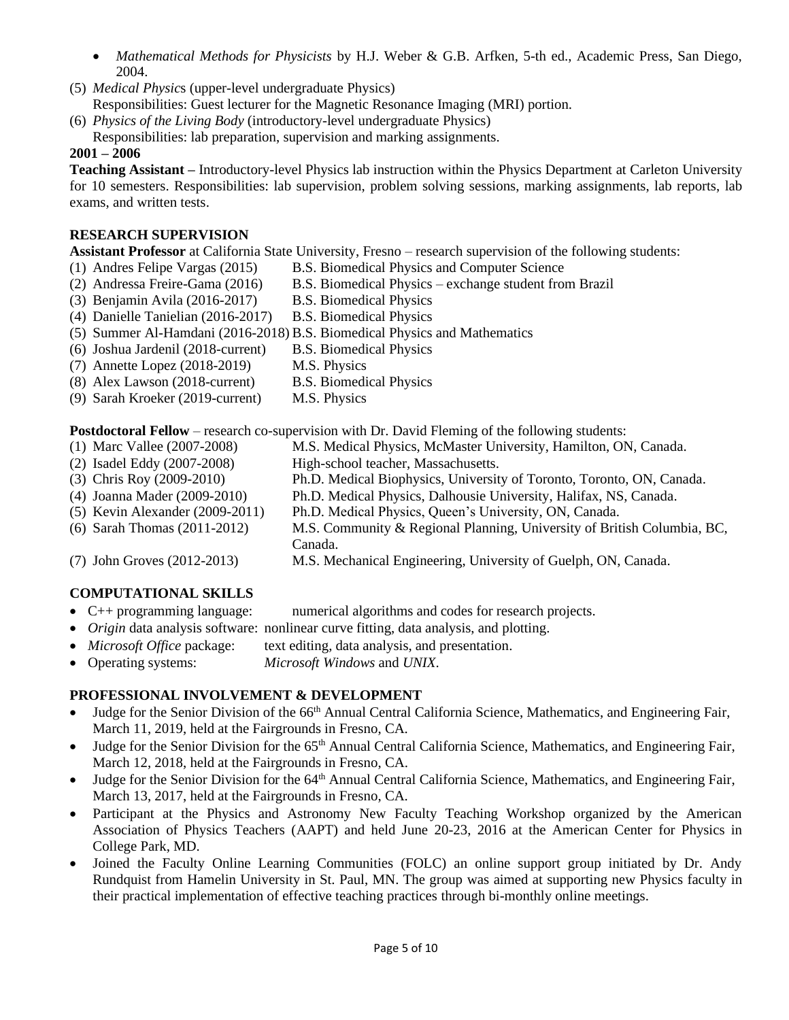- *Mathematical Methods for Physicists* by H.J. Weber & G.B. Arfken, 5-th ed., Academic Press, San Diego, 2004.
- (5) *Medical Physic*s (upper-level undergraduate Physics) Responsibilities: Guest lecturer for the Magnetic Resonance Imaging (MRI) portion.
- (6) *Physics of the Living Body* (introductory-level undergraduate Physics)
- Responsibilities: lab preparation, supervision and marking assignments.

### **2001 – 2006**

**Teaching Assistant –** Introductory-level Physics lab instruction within the Physics Department at Carleton University for 10 semesters. Responsibilities: lab supervision, problem solving sessions, marking assignments, lab reports, lab exams, and written tests.

### **RESEARCH SUPERVISION**

**Assistant Professor** at California State University, Fresno – research supervision of the following students:

- (1) Andres Felipe Vargas (2015) B.S. Biomedical Physics and Computer Science
- (2) Andressa Freire-Gama (2016) B.S. Biomedical Physics exchange student from Brazil
- (3) Benjamin Avila (2016-2017) B.S. Biomedical Physics
- (4) Danielle Tanielian (2016-2017) B.S. Biomedical Physics
- (5) Summer Al-Hamdani (2016-2018) B.S. Biomedical Physics and Mathematics
- (6) Joshua Jardenil (2018-current) B.S. Biomedical Physics
- (7) Annette Lopez (2018-2019) M.S. Physics
- (8) Alex Lawson (2018-current) B.S. Biomedical Physics
- (9) Sarah Kroeker (2019-current) M.S. Physics

**Postdoctoral Fellow** – research co-supervision with Dr. David Fleming of the following students:

- (1) Marc Vallee (2007-2008) M.S. Medical Physics, McMaster University, Hamilton, ON, Canada.
- (2) Isadel Eddy (2007-2008) High-school teacher, Massachusetts.
- (3) Chris Roy (2009-2010) Ph.D. Medical Biophysics, University of Toronto, Toronto, ON, Canada.
- (4) Joanna Mader (2009-2010) Ph.D. Medical Physics, Dalhousie University, Halifax, NS, Canada.
- (5) Kevin Alexander (2009-2011) Ph.D. Medical Physics, Queen's University, ON, Canada.
- (6) Sarah Thomas (2011-2012) M.S. Community & Regional Planning, University of British Columbia, BC, Canada.
- (7) John Groves (2012-2013) M.S. Mechanical Engineering, University of Guelph, ON, Canada.

### **COMPUTATIONAL SKILLS**

- C++ programming language: numerical algorithms and codes for research projects.
- *Origin* data analysis software: nonlinear curve fitting, data analysis, and plotting.
- *Microsoft Office* package: text editing, data analysis, and presentation.
- Operating systems: *Microsoft Windows* and *UNIX*.

### **PROFESSIONAL INVOLVEMENT & DEVELOPMENT**

- Judge for the Senior Division of the 66<sup>th</sup> Annual Central California Science, Mathematics, and Engineering Fair, March 11, 2019, held at the Fairgrounds in Fresno, CA.
- Judge for the Senior Division for the 65th Annual Central California Science, Mathematics, and Engineering Fair, March 12, 2018, held at the Fairgrounds in Fresno, CA.
- Judge for the Senior Division for the 64<sup>th</sup> Annual Central California Science, Mathematics, and Engineering Fair, March 13, 2017, held at the Fairgrounds in Fresno, CA.
- Participant at the Physics and Astronomy New Faculty Teaching Workshop organized by the American Association of Physics Teachers (AAPT) and held June 20-23, 2016 at the American Center for Physics in College Park, MD.
- Joined the Faculty Online Learning Communities (FOLC) an online support group initiated by Dr. Andy Rundquist from Hamelin University in St. Paul, MN. The group was aimed at supporting new Physics faculty in their practical implementation of effective teaching practices through bi-monthly online meetings.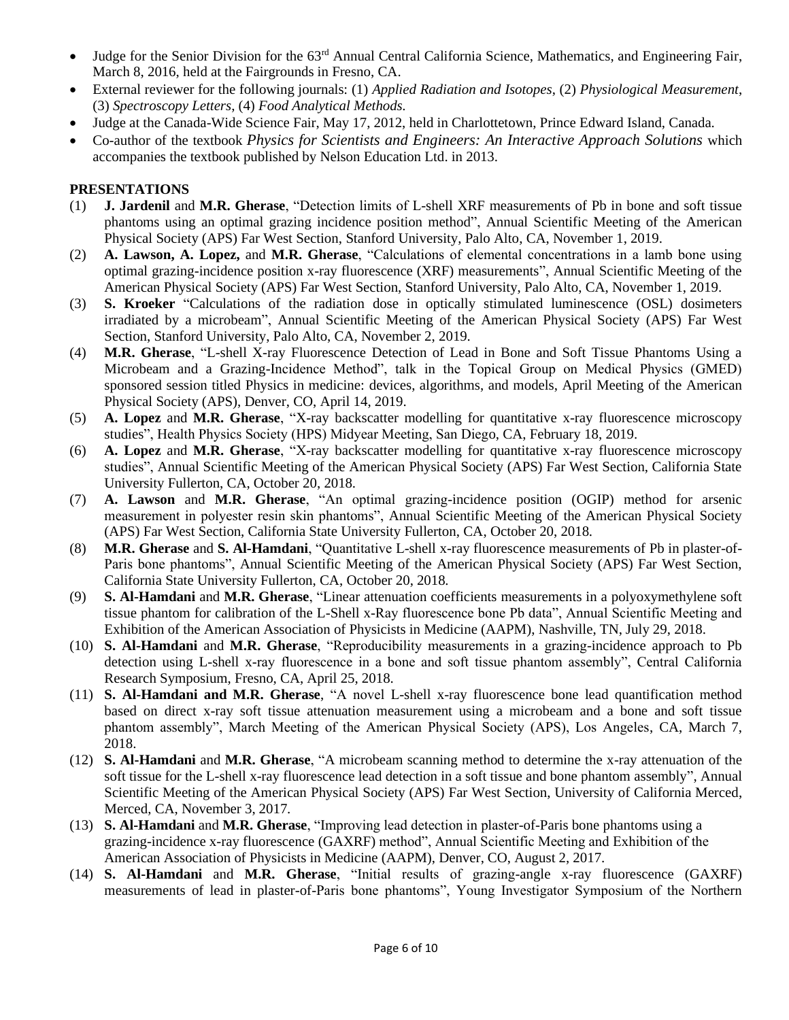- Judge for the Senior Division for the 63<sup>rd</sup> Annual Central California Science, Mathematics, and Engineering Fair, March 8, 2016, held at the Fairgrounds in Fresno, CA.
- External reviewer for the following journals: (1) *Applied Radiation and Isotopes*, (2) *Physiological Measurement*, (3) *Spectroscopy Letters*, (4) *Food Analytical Methods.*
- Judge at the Canada-Wide Science Fair, May 17, 2012, held in Charlottetown, Prince Edward Island, Canada.
- Co-author of the textbook *Physics for Scientists and Engineers: An Interactive Approach Solutions* which accompanies the textbook published by Nelson Education Ltd. in 2013.

#### **PRESENTATIONS**

- (1) **J. Jardenil** and **M.R. Gherase**, "Detection limits of L-shell XRF measurements of Pb in bone and soft tissue phantoms using an optimal grazing incidence position method", Annual Scientific Meeting of the American Physical Society (APS) Far West Section, Stanford University, Palo Alto, CA, November 1, 2019.
- (2) **A. Lawson, A. Lopez,** and **M.R. Gherase**, "Calculations of elemental concentrations in a lamb bone using optimal grazing-incidence position x-ray fluorescence (XRF) measurements", Annual Scientific Meeting of the American Physical Society (APS) Far West Section, Stanford University, Palo Alto, CA, November 1, 2019.
- (3) **S. Kroeker** "Calculations of the radiation dose in optically stimulated luminescence (OSL) dosimeters irradiated by a microbeam", Annual Scientific Meeting of the American Physical Society (APS) Far West Section, Stanford University, Palo Alto, CA, November 2, 2019.
- (4) **M.R. Gherase**, "L-shell X-ray Fluorescence Detection of Lead in Bone and Soft Tissue Phantoms Using a Microbeam and a Grazing-Incidence Method", talk in the Topical Group on Medical Physics (GMED) sponsored session titled Physics in medicine: devices, algorithms, and models, April Meeting of the American Physical Society (APS), Denver, CO, April 14, 2019.
- (5) **A. Lopez** and **M.R. Gherase**, "X-ray backscatter modelling for quantitative x-ray fluorescence microscopy studies", Health Physics Society (HPS) Midyear Meeting, San Diego, CA, February 18, 2019.
- (6) **A. Lopez** and **M.R. Gherase**, "X-ray backscatter modelling for quantitative x-ray fluorescence microscopy studies", Annual Scientific Meeting of the American Physical Society (APS) Far West Section, California State University Fullerton, CA, October 20, 2018*.*
- (7) **A. Lawson** and **M.R. Gherase**, "An optimal grazing-incidence position (OGIP) method for arsenic measurement in polyester resin skin phantoms", Annual Scientific Meeting of the American Physical Society (APS) Far West Section, California State University Fullerton, CA, October 20, 2018*.*
- (8) **M.R. Gherase** and **S. Al-Hamdani**, "Quantitative L-shell x-ray fluorescence measurements of Pb in plaster-of-Paris bone phantoms", Annual Scientific Meeting of the American Physical Society (APS) Far West Section, California State University Fullerton, CA, October 20, 2018*.*
- (9) **S. Al-Hamdani** and **M.R. Gherase**, "Linear attenuation coefficients measurements in a polyoxymethylene soft tissue phantom for calibration of the L-Shell x-Ray fluorescence bone Pb data", Annual Scientific Meeting and Exhibition of the American Association of Physicists in Medicine (AAPM), Nashville, TN, July 29, 2018.
- (10) **S. Al-Hamdani** and **M.R. Gherase**, "Reproducibility measurements in a grazing-incidence approach to Pb detection using L-shell x-ray fluorescence in a bone and soft tissue phantom assembly", Central California Research Symposium, Fresno, CA, April 25, 2018.
- (11) **S. Al-Hamdani and M.R. Gherase**, "A novel L-shell x-ray fluorescence bone lead quantification method based on direct x-ray soft tissue attenuation measurement using a microbeam and a bone and soft tissue phantom assembly", March Meeting of the American Physical Society (APS), Los Angeles, CA, March 7, 2018.
- (12) **S. Al-Hamdani** and **M.R. Gherase**, "A microbeam scanning method to determine the x-ray attenuation of the soft tissue for the L-shell x-ray fluorescence lead detection in a soft tissue and bone phantom assembly", Annual Scientific Meeting of the American Physical Society (APS) Far West Section, University of California Merced, Merced, CA, November 3, 2017*.*
- (13) **S. Al-Hamdani** and **M.R. Gherase**, "Improving lead detection in plaster-of-Paris bone phantoms using a grazing-incidence x-ray fluorescence (GAXRF) method", Annual Scientific Meeting and Exhibition of the American Association of Physicists in Medicine (AAPM), Denver, CO, August 2, 2017.
- (14) **S. Al-Hamdani** and **M.R. Gherase**, "Initial results of grazing-angle x-ray fluorescence (GAXRF) measurements of lead in plaster-of-Paris bone phantoms", Young Investigator Symposium of the Northern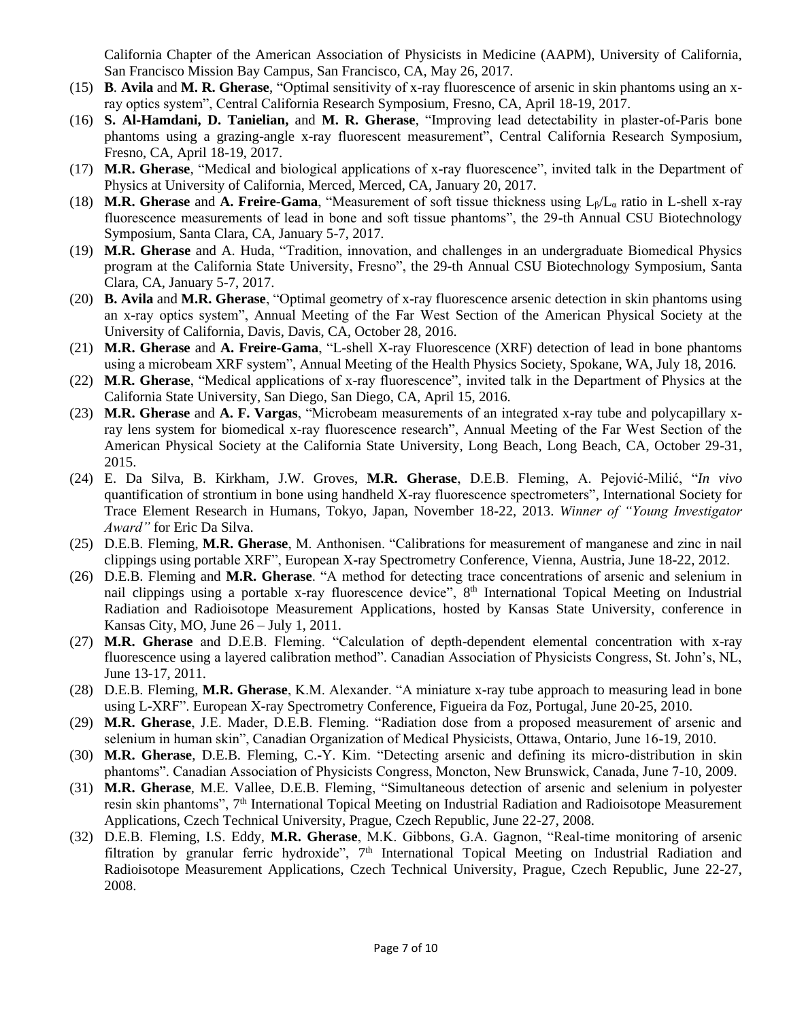California Chapter of the American Association of Physicists in Medicine (AAPM), University of California, San Francisco Mission Bay Campus, San Francisco, CA, May 26, 2017*.*

- (15) **B***.* **Avila** and **M. R. Gherase**, "Optimal sensitivity of x-ray fluorescence of arsenic in skin phantoms using an xray optics system", Central California Research Symposium, Fresno, CA, April 18-19, 2017.
- (16) **S. Al-Hamdani, D. Tanielian,** and **M. R. Gherase**, "Improving lead detectability in plaster-of-Paris bone phantoms using a grazing-angle x-ray fluorescent measurement", Central California Research Symposium, Fresno, CA, April 18-19, 2017.
- (17) **M.R. Gherase**, "Medical and biological applications of x-ray fluorescence", invited talk in the Department of Physics at University of California, Merced, Merced, CA, January 20, 2017.
- (18) **M.R. Gherase** and **A. Freire-Gama**, "Measurement of soft tissue thickness using Lβ/L<sup>α</sup> ratio in L-shell x-ray fluorescence measurements of lead in bone and soft tissue phantoms", the 29-th Annual CSU Biotechnology Symposium, Santa Clara, CA, January 5-7, 2017*.*
- (19) **M.R. Gherase** and A. Huda, "Tradition, innovation, and challenges in an undergraduate Biomedical Physics program at the California State University, Fresno", the 29-th Annual CSU Biotechnology Symposium, Santa Clara, CA, January 5-7, 2017.
- (20) **B. Avila** and **M.R. Gherase**, "Optimal geometry of x-ray fluorescence arsenic detection in skin phantoms using an x-ray optics system", Annual Meeting of the Far West Section of the American Physical Society at the University of California, Davis, Davis, CA, October 28, 2016.
- (21) **M.R. Gherase** and **A. Freire-Gama**, "L-shell X-ray Fluorescence (XRF) detection of lead in bone phantoms using a microbeam XRF system", Annual Meeting of the Health Physics Society, Spokane, WA, July 18, 2016*.*
- (22) **M***.***R. Gherase**, "Medical applications of x-ray fluorescence", invited talk in the Department of Physics at the California State University, San Diego, San Diego, CA, April 15, 2016.
- (23) **M.R. Gherase** and **A. F. Vargas**, "Microbeam measurements of an integrated x-ray tube and polycapillary xray lens system for biomedical x-ray fluorescence research", Annual Meeting of the Far West Section of the American Physical Society at the California State University, Long Beach, Long Beach, CA, October 29-31, 2015.
- (24) E. Da Silva, B. Kirkham, J.W. Groves, **M.R. Gherase**, D.E.B. Fleming, A. Pejović-Milić, "*In vivo* quantification of strontium in bone using handheld X-ray fluorescence spectrometers", International Society for Trace Element Research in Humans, Tokyo, Japan, November 18-22, 2013. *Winner of "Young Investigator Award"* for Eric Da Silva.
- (25) D.E.B. Fleming, **M.R. Gherase**, M. Anthonisen. "Calibrations for measurement of manganese and zinc in nail clippings using portable XRF", European X-ray Spectrometry Conference, Vienna, Austria, June 18-22, 2012.
- (26) D.E.B. Fleming and **M.R. Gherase**. "A method for detecting trace concentrations of arsenic and selenium in nail clippings using a portable x-ray fluorescence device", 8<sup>th</sup> International Topical Meeting on Industrial Radiation and Radioisotope Measurement Applications, hosted by Kansas State University, conference in Kansas City, MO, June 26 – July 1, 2011.
- (27) **M.R. Gherase** and D.E.B. Fleming. "Calculation of depth-dependent elemental concentration with x-ray fluorescence using a layered calibration method". Canadian Association of Physicists Congress, St. John's, NL, June 13-17, 2011.
- (28) D.E.B. Fleming, **M.R. Gherase**, K.M. Alexander. "A miniature x-ray tube approach to measuring lead in bone using L-XRF". European X-ray Spectrometry Conference, Figueira da Foz, Portugal, June 20-25, 2010.
- (29) **M.R. Gherase**, J.E. Mader, D.E.B. Fleming. "Radiation dose from a proposed measurement of arsenic and selenium in human skin", Canadian Organization of Medical Physicists, Ottawa, Ontario, June 16-19, 2010.
- (30) **M.R. Gherase**, D.E.B. Fleming, C.-Y. Kim. "Detecting arsenic and defining its micro-distribution in skin phantoms". Canadian Association of Physicists Congress, Moncton, New Brunswick, Canada, June 7-10, 2009.
- (31) **M.R. Gherase**, M.E. Vallee, D.E.B. Fleming, "Simultaneous detection of arsenic and selenium in polyester resin skin phantoms", 7<sup>th</sup> International Topical Meeting on Industrial Radiation and Radioisotope Measurement Applications, Czech Technical University, Prague, Czech Republic, June 22-27, 2008.
- (32) D.E.B. Fleming, I.S. Eddy, **M.R. Gherase**, M.K. Gibbons, G.A. Gagnon, "Real-time monitoring of arsenic filtration by granular ferric hydroxide", 7<sup>th</sup> International Topical Meeting on Industrial Radiation and Radioisotope Measurement Applications, Czech Technical University, Prague, Czech Republic, June 22-27, 2008.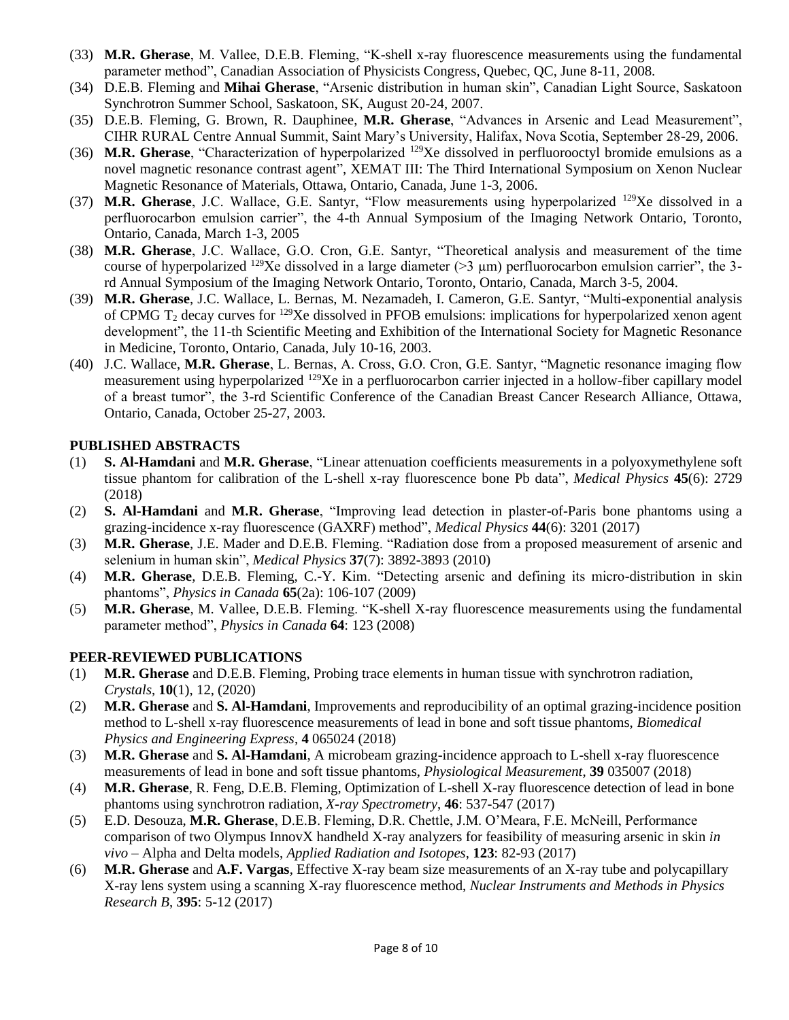- (33) **M.R. Gherase**, M. Vallee, D.E.B. Fleming, "K-shell x-ray fluorescence measurements using the fundamental parameter method", Canadian Association of Physicists Congress, Quebec, QC, June 8-11, 2008.
- (34) D.E.B. Fleming and **Mihai Gherase**, "Arsenic distribution in human skin", Canadian Light Source, Saskatoon Synchrotron Summer School, Saskatoon, SK, August 20-24, 2007.
- (35) D.E.B. Fleming, G. Brown, R. Dauphinee, **M.R. Gherase**, "Advances in Arsenic and Lead Measurement", CIHR RURAL Centre Annual Summit, Saint Mary's University, Halifax, Nova Scotia, September 28-29, 2006.
- (36) **M.R. Gherase**, "Characterization of hyperpolarized <sup>129</sup>Xe dissolved in perfluorooctyl bromide emulsions as a novel magnetic resonance contrast agent", XEMAT III: The Third International Symposium on Xenon Nuclear Magnetic Resonance of Materials, Ottawa, Ontario, Canada, June 1-3, 2006.
- (37) **M.R. Gherase**, J.C. Wallace, G.E. Santyr, "Flow measurements using hyperpolarized <sup>129</sup>Xe dissolved in a perfluorocarbon emulsion carrier", the 4-th Annual Symposium of the Imaging Network Ontario, Toronto, Ontario, Canada, March 1-3, 2005
- (38) **M.R. Gherase**, J.C. Wallace, G.O. Cron, G.E. Santyr, "Theoretical analysis and measurement of the time course of hyperpolarized <sup>129</sup>Xe dissolved in a large diameter ( $>3 \mu$ m) perfluorocarbon emulsion carrier", the 3rd Annual Symposium of the Imaging Network Ontario, Toronto, Ontario, Canada, March 3-5, 2004.
- (39) **M.R. Gherase**, J.C. Wallace, L. Bernas, M. Nezamadeh, I. Cameron, G.E. Santyr, "Multi-exponential analysis of CPMG  $T_2$  decay curves for <sup>129</sup>Xe dissolved in PFOB emulsions: implications for hyperpolarized xenon agent development", the 11-th Scientific Meeting and Exhibition of the International Society for Magnetic Resonance in Medicine, Toronto, Ontario, Canada, July 10-16, 2003.
- (40) J.C. Wallace, **M.R. Gherase**, L. Bernas, A. Cross, G.O. Cron, G.E. Santyr, "Magnetic resonance imaging flow measurement using hyperpolarized <sup>129</sup>Xe in a perfluorocarbon carrier injected in a hollow-fiber capillary model of a breast tumor", the 3-rd Scientific Conference of the Canadian Breast Cancer Research Alliance, Ottawa, Ontario, Canada, October 25-27, 2003.

#### **PUBLISHED ABSTRACTS**

- (1) **S. Al-Hamdani** and **M.R. Gherase**, "Linear attenuation coefficients measurements in a polyoxymethylene soft tissue phantom for calibration of the L-shell x-ray fluorescence bone Pb data", *Medical Physics* **45**(6): 2729 (2018)
- (2) **S. Al-Hamdani** and **M.R. Gherase**, "Improving lead detection in plaster-of-Paris bone phantoms using a grazing-incidence x-ray fluorescence (GAXRF) method", *Medical Physics* **44**(6): 3201 (2017)
- (3) **M.R. Gherase**, J.E. Mader and D.E.B. Fleming. "Radiation dose from a proposed measurement of arsenic and selenium in human skin", *Medical Physics* **37**(7): 3892-3893 (2010)
- (4) **M.R. Gherase**, D.E.B. Fleming, C.-Y. Kim. "Detecting arsenic and defining its micro-distribution in skin phantoms", *Physics in Canada* **65**(2a): 106-107 (2009)
- (5) **M.R. Gherase**, M. Vallee, D.E.B. Fleming. "K-shell X-ray fluorescence measurements using the fundamental parameter method", *Physics in Canada* **64**: 123 (2008)

#### **PEER-REVIEWED PUBLICATIONS**

- (1) **M.R. Gherase** and D.E.B. Fleming, Probing trace elements in human tissue with synchrotron radiation, *Crystals*, **10**(1), 12, (2020)
- (2) **M.R. Gherase** and **S. Al-Hamdani**, Improvements and reproducibility of an optimal grazing-incidence position method to L-shell x-ray fluorescence measurements of lead in bone and soft tissue phantoms, *Biomedical Physics and Engineering Express*, **4** 065024 (2018)
- (3) **M.R. Gherase** and **S. Al-Hamdani**, A microbeam grazing-incidence approach to L-shell x-ray fluorescence measurements of lead in bone and soft tissue phantoms, *Physiological Measurement*, **39** 035007 (2018)
- (4) **M.R. Gherase**, R. Feng, D.E.B. Fleming, Optimization of L-shell X-ray fluorescence detection of lead in bone phantoms using synchrotron radiation, *X-ray Spectrometry*, **46**: 537-547 (2017)
- (5) E.D. Desouza, **M.R. Gherase**, D.E.B. Fleming, D.R. Chettle, J.M. O'Meara, F.E. McNeill, Performance comparison of two Olympus InnovX handheld X-ray analyzers for feasibility of measuring arsenic in skin *in vivo* – Alpha and Delta models, *Applied Radiation and Isotopes*, **123**: 82-93 (2017)
- (6) **M.R. Gherase** and **A.F. Vargas**, Effective X-ray beam size measurements of an X-ray tube and polycapillary X-ray lens system using a scanning X-ray fluorescence method, *Nuclear Instruments and Methods in Physics Research B*, **395**: 5-12 (2017)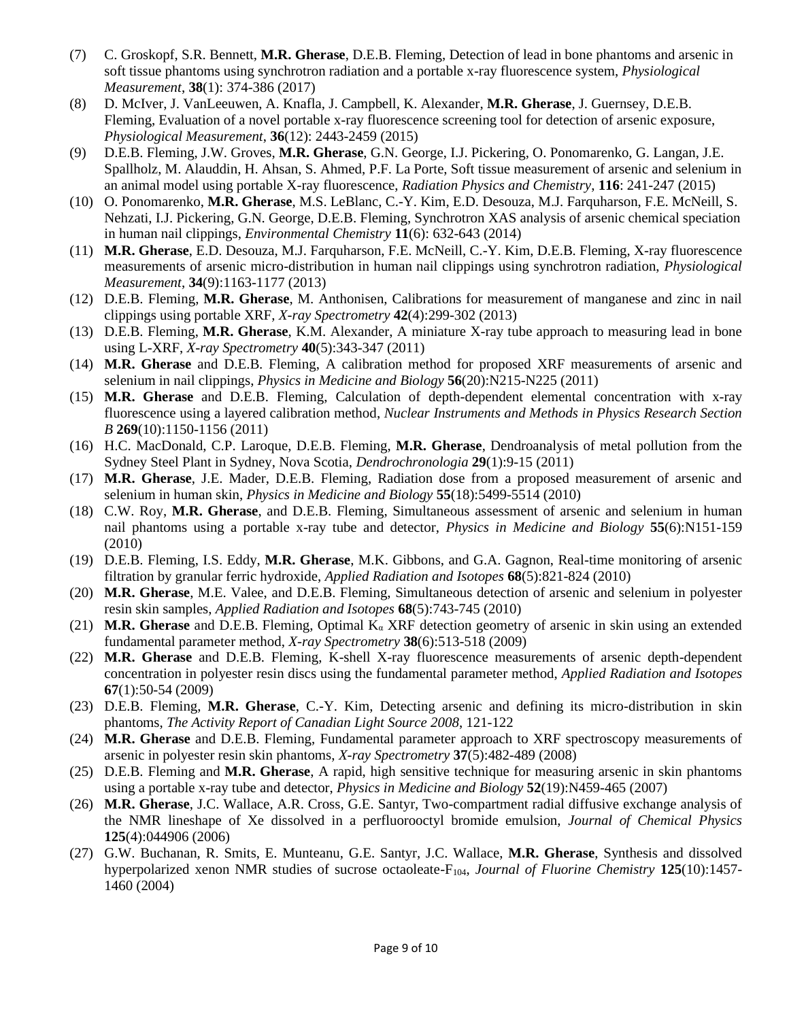- (7) C. Groskopf, S.R. Bennett, **M.R. Gherase**, D.E.B. Fleming, Detection of lead in bone phantoms and arsenic in soft tissue phantoms using synchrotron radiation and a portable x-ray fluorescence system, *Physiological Measurement*, **38**(1): 374-386 (2017)
- (8) D. McIver, J. VanLeeuwen, A. Knafla, J. Campbell, K. Alexander, **M.R. Gherase**, J. Guernsey, D.E.B. Fleming, Evaluation of a novel portable x-ray fluorescence screening tool for detection of arsenic exposure, *Physiological Measurement*, **36**(12): 2443-2459 (2015)
- (9) D.E.B. Fleming, J.W. Groves, **M.R. Gherase**, G.N. George, I.J. Pickering, O. Ponomarenko, G. Langan, J.E. Spallholz, M. Alauddin, H. Ahsan, S. Ahmed, P.F. La Porte, Soft tissue measurement of arsenic and selenium in an animal model using portable X-ray fluorescence, *Radiation Physics and Chemistry*, **116**: 241-247 (2015)
- (10) O. Ponomarenko, **M.R. Gherase**, M.S. LeBlanc, C.-Y. Kim, E.D. Desouza, M.J. Farquharson, F.E. McNeill, S. Nehzati, I.J. Pickering, G.N. George, D.E.B. Fleming, Synchrotron XAS analysis of arsenic chemical speciation in human nail clippings, *Environmental Chemistry* **11**(6): 632-643 (2014)
- (11) **M.R. Gherase**, E.D. Desouza, M.J. Farquharson, F.E. McNeill, C.-Y. Kim, D.E.B. Fleming, X-ray fluorescence measurements of arsenic micro-distribution in human nail clippings using synchrotron radiation, *Physiological Measurement*, **34**(9):1163-1177 (2013)
- (12) D.E.B. Fleming, **M.R. Gherase**, M. Anthonisen, Calibrations for measurement of manganese and zinc in nail clippings using portable XRF, *X-ray Spectrometry* **42**(4):299-302 (2013)
- (13) D.E.B. Fleming, **M.R. Gherase**, K.M. Alexander, A miniature X-ray tube approach to measuring lead in bone using L-XRF, *X-ray Spectrometry* **40**(5):343-347 (2011)
- (14) **M.R. Gherase** and D.E.B. Fleming, A calibration method for proposed XRF measurements of arsenic and selenium in nail clippings, *Physics in Medicine and Biology* **56**(20):N215-N225 (2011)
- (15) **M.R. Gherase** and D.E.B. Fleming, Calculation of depth-dependent elemental concentration with x-ray fluorescence using a layered calibration method, *Nuclear Instruments and Methods in Physics Research Section B* **269**(10):1150-1156 (2011)
- (16) H.C. MacDonald, C.P. Laroque, D.E.B. Fleming, **M.R. Gherase**, Dendroanalysis of metal pollution from the Sydney Steel Plant in Sydney, Nova Scotia, *Dendrochronologia* **29**(1):9-15 (2011)
- (17) **M.R. Gherase**, J.E. Mader, D.E.B. Fleming, Radiation dose from a proposed measurement of arsenic and selenium in human skin, *Physics in Medicine and Biology* **55**(18):5499-5514 (2010)
- (18) C.W. Roy, **M.R. Gherase**, and D.E.B. Fleming, Simultaneous assessment of arsenic and selenium in human nail phantoms using a portable x-ray tube and detector, *Physics in Medicine and Biology* **55**(6):N151-159 (2010)
- (19) D.E.B. Fleming, I.S. Eddy, **M.R. Gherase**, M.K. Gibbons, and G.A. Gagnon, Real-time monitoring of arsenic filtration by granular ferric hydroxide, *Applied Radiation and Isotopes* **68**(5):821-824 (2010)
- (20) **M.R. Gherase**, M.E. Valee, and D.E.B. Fleming, Simultaneous detection of arsenic and selenium in polyester resin skin samples, *Applied Radiation and Isotopes* **68**(5):743-745 (2010)
- (21) **M.R. Gherase** and D.E.B. Fleming, Optimal K<sup>α</sup> XRF detection geometry of arsenic in skin using an extended fundamental parameter method, *X-ray Spectrometry* **38**(6):513-518 (2009)
- (22) **M.R. Gherase** and D.E.B. Fleming, K-shell X-ray fluorescence measurements of arsenic depth-dependent concentration in polyester resin discs using the fundamental parameter method, *Applied Radiation and Isotopes* **67**(1):50-54 (2009)
- (23) D.E.B. Fleming, **M.R. Gherase**, C.-Y. Kim, Detecting arsenic and defining its micro-distribution in skin phantoms, *The Activity Report of Canadian Light Source 2008*, 121-122
- (24) **M.R. Gherase** and D.E.B. Fleming, Fundamental parameter approach to XRF spectroscopy measurements of arsenic in polyester resin skin phantoms, *X-ray Spectrometry* **37**(5):482-489 (2008)
- (25) D.E.B. Fleming and **M.R. Gherase**, A rapid, high sensitive technique for measuring arsenic in skin phantoms using a portable x-ray tube and detector, *Physics in Medicine and Biology* **52**(19):N459-465 (2007)
- (26) **M.R. Gherase**, J.C. Wallace, A.R. Cross, G.E. Santyr, Two-compartment radial diffusive exchange analysis of the NMR lineshape of Xe dissolved in a perfluorooctyl bromide emulsion, *Journal of Chemical Physics* **125**(4):044906 (2006)
- (27) G.W. Buchanan, R. Smits, E. Munteanu, G.E. Santyr, J.C. Wallace, **M.R. Gherase**, Synthesis and dissolved hyperpolarized xenon NMR studies of sucrose octaoleate-F104, *Journal of Fluorine Chemistry* **125**(10):1457- 1460 (2004)